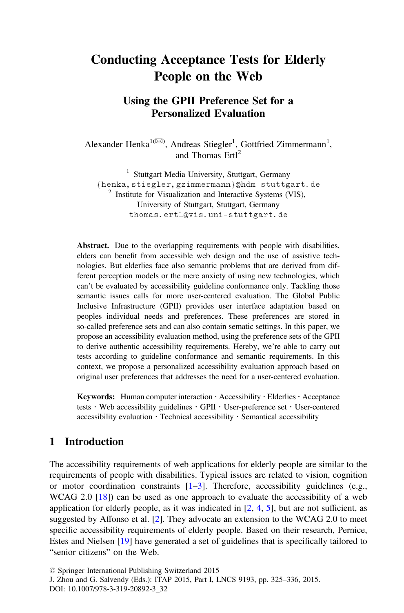# Conducting Acceptance Tests for Elderly People on the Web

### Using the GPII Preference Set for a Personalized Evaluation

Alexander Henka<sup>1( $\boxtimes$ )</sup>, Andreas Stiegler<sup>1</sup>, Gottfried Zimmermann<sup>1</sup>, and Thomas Ertl<sup>2</sup>

<sup>1</sup> Stuttgart Media University, Stuttgart, Germany<br>
{henka, stiegler, gzimmermann}@hdm-stuttgart.de  $2$  Institute for Visualization and Interactive Systems (VIS), University of Stuttgart, Stuttgart, Germany thomas.ertl@vis.uni-stuttgart.de

Abstract. Due to the overlapping requirements with people with disabilities, elders can benefit from accessible web design and the use of assistive technologies. But elderlies face also semantic problems that are derived from different perception models or the mere anxiety of using new technologies, which can't be evaluated by accessibility guideline conformance only. Tackling those semantic issues calls for more user-centered evaluation. The Global Public Inclusive Infrastructure (GPII) provides user interface adaptation based on peoples individual needs and preferences. These preferences are stored in so-called preference sets and can also contain sematic settings. In this paper, we propose an accessibility evaluation method, using the preference sets of the GPII to derive authentic accessibility requirements. Hereby, we're able to carry out tests according to guideline conformance and semantic requirements. In this context, we propose a personalized accessibility evaluation approach based on original user preferences that addresses the need for a user-centered evaluation.

Keywords: Human computer interaction  $\cdot$  Accessibility  $\cdot$  Elderlies  $\cdot$  Acceptance tests  $\cdot$  Web accessibility guidelines  $\cdot$  GPII  $\cdot$  User-preference set  $\cdot$  User-centered  $accessibility$  evaluation  $\cdot$  Technical accessibility  $\cdot$  Semantical accessibility

### 1 Introduction

The accessibility requirements of web applications for elderly people are similar to the requirements of people with disabilities. Typical issues are related to vision, cognition or motor coordination constraints  $[1-3]$  $[1-3]$  $[1-3]$  $[1-3]$ . Therefore, accessibility guidelines (e.g., WCAG 2.0 [[18\]](#page-10-0)) can be used as one approach to evaluate the accessibility of a web application for elderly people, as it was indicated in  $[2, 4, 5]$  $[2, 4, 5]$  $[2, 4, 5]$  $[2, 4, 5]$  $[2, 4, 5]$  $[2, 4, 5]$ , but are not sufficient, as suggested by Affonso et al. [[2\]](#page-9-0). They advocate an extension to the WCAG 2.0 to meet specific accessibility requirements of elderly people. Based on their research, Pernice, Estes and Nielsen [[19\]](#page-10-0) have generated a set of guidelines that is specifically tailored to "senior citizens" on the Web.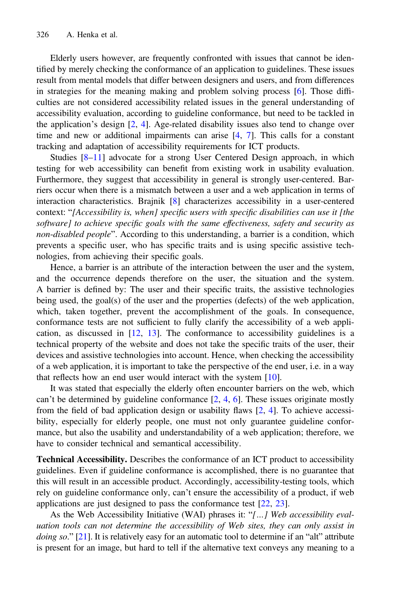Elderly users however, are frequently confronted with issues that cannot be identified by merely checking the conformance of an application to guidelines. These issues result from mental models that differ between designers and users, and from differences in strategies for the meaning making and problem solving process [\[6](#page-9-0)]. Those difficulties are not considered accessibility related issues in the general understanding of accessibility evaluation, according to guideline conformance, but need to be tackled in the application's design [\[2](#page-9-0), [4](#page-9-0)]. Age-related disability issues also tend to change over time and new or additional impairments can arise [\[4](#page-9-0), [7](#page-9-0)]. This calls for a constant tracking and adaptation of accessibility requirements for ICT products.

Studies [\[8](#page-9-0)–[11](#page-10-0)] advocate for a strong User Centered Design approach, in which testing for web accessibility can benefit from existing work in usability evaluation. Furthermore, they suggest that accessibility in general is strongly user-centered. Barriers occur when there is a mismatch between a user and a web application in terms of interaction characteristics. Brajnik [[8\]](#page-9-0) characterizes accessibility in a user-centered context: "[Accessibility is, when] specific users with specific disabilities can use it [the software] to achieve specific goals with the same effectiveness, safety and security as non-disabled people". According to this understanding, a barrier is a condition, which prevents a specific user, who has specific traits and is using specific assistive technologies, from achieving their specific goals.

Hence, a barrier is an attribute of the interaction between the user and the system, and the occurrence depends therefore on the user, the situation and the system. A barrier is defined by: The user and their specific traits, the assistive technologies being used, the goal(s) of the user and the properties (defects) of the web application, which, taken together, prevent the accomplishment of the goals. In consequence, conformance tests are not sufficient to fully clarify the accessibility of a web application, as discussed in  $[12, 13]$  $[12, 13]$  $[12, 13]$  $[12, 13]$ . The conformance to accessibility guidelines is a technical property of the website and does not take the specific traits of the user, their devices and assistive technologies into account. Hence, when checking the accessibility of a web application, it is important to take the perspective of the end user, i.e. in a way that reflects how an end user would interact with the system [\[10](#page-10-0)].

It was stated that especially the elderly often encounter barriers on the web, which can't be determined by guideline conformance  $[2, 4, 6]$  $[2, 4, 6]$  $[2, 4, 6]$  $[2, 4, 6]$  $[2, 4, 6]$  $[2, 4, 6]$ . These issues originate mostly from the field of bad application design or usability flaws [\[2](#page-9-0), [4](#page-9-0)]. To achieve accessibility, especially for elderly people, one must not only guarantee guideline conformance, but also the usability and understandability of a web application; therefore, we have to consider technical and semantical accessibility.

Technical Accessibility. Describes the conformance of an ICT product to accessibility guidelines. Even if guideline conformance is accomplished, there is no guarantee that this will result in an accessible product. Accordingly, accessibility-testing tools, which rely on guideline conformance only, can't ensure the accessibility of a product, if web applications are just designed to pass the conformance test [[22,](#page-10-0) [23\]](#page-10-0).

As the Web Accessibility Initiative (WAI) phrases it: "[…] Web accessibility evaluation tools can not determine the accessibility of Web sites, they can only assist in doing so." [\[21](#page-10-0)]. It is relatively easy for an automatic tool to determine if an "alt" attribute is present for an image, but hard to tell if the alternative text conveys any meaning to a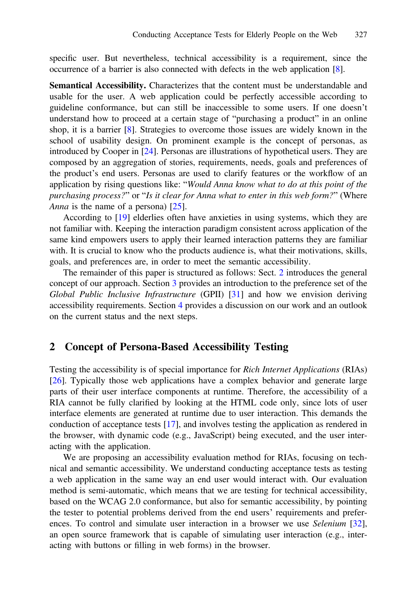specific user. But nevertheless, technical accessibility is a requirement, since the occurrence of a barrier is also connected with defects in the web application [\[8](#page-9-0)].

Semantical Accessibility. Characterizes that the content must be understandable and usable for the user. A web application could be perfectly accessible according to guideline conformance, but can still be inaccessible to some users. If one doesn't understand how to proceed at a certain stage of "purchasing a product" in an online shop, it is a barrier [\[8](#page-9-0)]. Strategies to overcome those issues are widely known in the school of usability design. On prominent example is the concept of personas, as introduced by Cooper in [[24\]](#page-10-0). Personas are illustrations of hypothetical users. They are composed by an aggregation of stories, requirements, needs, goals and preferences of the product's end users. Personas are used to clarify features or the workflow of an application by rising questions like: "Would Anna know what to do at this point of the purchasing process?" or "Is it clear for Anna what to enter in this web form?" (Where Anna is the name of a persona) [[25\]](#page-10-0).

According to [\[19](#page-10-0)] elderlies often have anxieties in using systems, which they are not familiar with. Keeping the interaction paradigm consistent across application of the same kind empowers users to apply their learned interaction patterns they are familiar with. It is crucial to know who the products audience is, what their motivations, skills, goals, and preferences are, in order to meet the semantic accessibility.

The remainder of this paper is structured as follows: Sect. 2 introduces the general concept of our approach. Section [3](#page-5-0) provides an introduction to the preference set of the Global Public Inclusive Infrastructure (GPII) [[31\]](#page-11-0) and how we envision deriving accessibility requirements. Section [4](#page-8-0) provides a discussion on our work and an outlook on the current status and the next steps.

### 2 Concept of Persona-Based Accessibility Testing

Testing the accessibility is of special importance for Rich Internet Applications (RIAs) [\[26](#page-11-0)]. Typically those web applications have a complex behavior and generate large parts of their user interface components at runtime. Therefore, the accessibility of a RIA cannot be fully clarified by looking at the HTML code only, since lots of user interface elements are generated at runtime due to user interaction. This demands the conduction of acceptance tests [\[17](#page-10-0)], and involves testing the application as rendered in the browser, with dynamic code (e.g., JavaScript) being executed, and the user interacting with the application.

We are proposing an accessibility evaluation method for RIAs, focusing on technical and semantic accessibility. We understand conducting acceptance tests as testing a web application in the same way an end user would interact with. Our evaluation method is semi-automatic, which means that we are testing for technical accessibility, based on the WCAG 2.0 conformance, but also for semantic accessibility, by pointing the tester to potential problems derived from the end users' requirements and preferences. To control and simulate user interaction in a browser we use Selenium [[32\]](#page-11-0), an open source framework that is capable of simulating user interaction (e.g., interacting with buttons or filling in web forms) in the browser.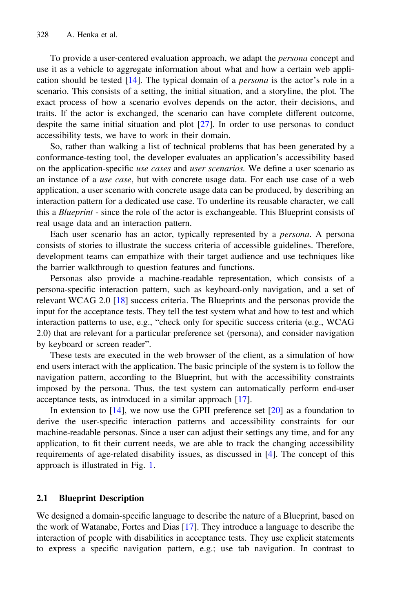To provide a user-centered evaluation approach, we adapt the persona concept and use it as a vehicle to aggregate information about what and how a certain web application should be tested [\[14](#page-10-0)]. The typical domain of a persona is the actor's role in a scenario. This consists of a setting, the initial situation, and a storyline, the plot. The exact process of how a scenario evolves depends on the actor, their decisions, and traits. If the actor is exchanged, the scenario can have complete different outcome, despite the same initial situation and plot [[27\]](#page-11-0). In order to use personas to conduct accessibility tests, we have to work in their domain.

So, rather than walking a list of technical problems that has been generated by a conformance-testing tool, the developer evaluates an application's accessibility based on the application-specific use cases and user scenarios. We define a user scenario as an instance of a use case, but with concrete usage data. For each use case of a web application, a user scenario with concrete usage data can be produced, by describing an interaction pattern for a dedicated use case. To underline its reusable character, we call this a Blueprint - since the role of the actor is exchangeable. This Blueprint consists of real usage data and an interaction pattern.

Each user scenario has an actor, typically represented by a persona. A persona consists of stories to illustrate the success criteria of accessible guidelines. Therefore, development teams can empathize with their target audience and use techniques like the barrier walkthrough to question features and functions.

Personas also provide a machine-readable representation, which consists of a persona-specific interaction pattern, such as keyboard-only navigation, and a set of relevant WCAG 2.0 [\[18](#page-10-0)] success criteria. The Blueprints and the personas provide the input for the acceptance tests. They tell the test system what and how to test and which interaction patterns to use, e.g., "check only for specific success criteria (e.g., WCAG 2.0) that are relevant for a particular preference set (persona), and consider navigation by keyboard or screen reader".

These tests are executed in the web browser of the client, as a simulation of how end users interact with the application. The basic principle of the system is to follow the navigation pattern, according to the Blueprint, but with the accessibility constraints imposed by the persona. Thus, the test system can automatically perform end-user acceptance tests, as introduced in a similar approach [[17\]](#page-10-0).

In extension to  $[14]$  $[14]$ , we now use the GPII preference set  $[20]$  $[20]$  as a foundation to derive the user-specific interaction patterns and accessibility constraints for our machine-readable personas. Since a user can adjust their settings any time, and for any application, to fit their current needs, we are able to track the changing accessibility requirements of age-related disability issues, as discussed in [[4\]](#page-9-0). The concept of this approach is illustrated in Fig. [1.](#page-4-0)

#### 2.1 Blueprint Description

We designed a domain-specific language to describe the nature of a Blueprint, based on the work of Watanabe, Fortes and Dias [\[17](#page-10-0)]. They introduce a language to describe the interaction of people with disabilities in acceptance tests. They use explicit statements to express a specific navigation pattern, e.g.; use tab navigation. In contrast to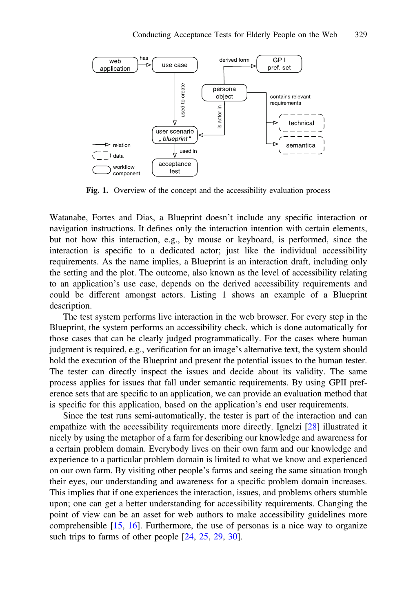<span id="page-4-0"></span>

Fig. 1. Overview of the concept and the accessibility evaluation process

Watanabe, Fortes and Dias, a Blueprint doesn't include any specific interaction or navigation instructions. It defines only the interaction intention with certain elements, but not how this interaction, e.g., by mouse or keyboard, is performed, since the interaction is specific to a dedicated actor; just like the individual accessibility requirements. As the name implies, a Blueprint is an interaction draft, including only the setting and the plot. The outcome, also known as the level of accessibility relating to an application's use case, depends on the derived accessibility requirements and could be different amongst actors. Listing 1 shows an example of a Blueprint description.

The test system performs live interaction in the web browser. For every step in the Blueprint, the system performs an accessibility check, which is done automatically for those cases that can be clearly judged programmatically. For the cases where human judgment is required, e.g., verification for an image's alternative text, the system should hold the execution of the Blueprint and present the potential issues to the human tester. The tester can directly inspect the issues and decide about its validity. The same process applies for issues that fall under semantic requirements. By using GPII preference sets that are specific to an application, we can provide an evaluation method that is specific for this application, based on the application's end user requirements.

Since the test runs semi-automatically, the tester is part of the interaction and can empathize with the accessibility requirements more directly. Ignelzi [[28\]](#page-11-0) illustrated it nicely by using the metaphor of a farm for describing our knowledge and awareness for a certain problem domain. Everybody lives on their own farm and our knowledge and experience to a particular problem domain is limited to what we know and experienced on our own farm. By visiting other people's farms and seeing the same situation trough their eyes, our understanding and awareness for a specific problem domain increases. This implies that if one experiences the interaction, issues, and problems others stumble upon; one can get a better understanding for accessibility requirements. Changing the point of view can be an asset for web authors to make accessibility guidelines more comprehensible [\[15](#page-10-0), [16](#page-10-0)]. Furthermore, the use of personas is a nice way to organize such trips to farms of other people  $[24, 25, 29, 30]$  $[24, 25, 29, 30]$  $[24, 25, 29, 30]$  $[24, 25, 29, 30]$  $[24, 25, 29, 30]$  $[24, 25, 29, 30]$  $[24, 25, 29, 30]$  $[24, 25, 29, 30]$  $[24, 25, 29, 30]$ .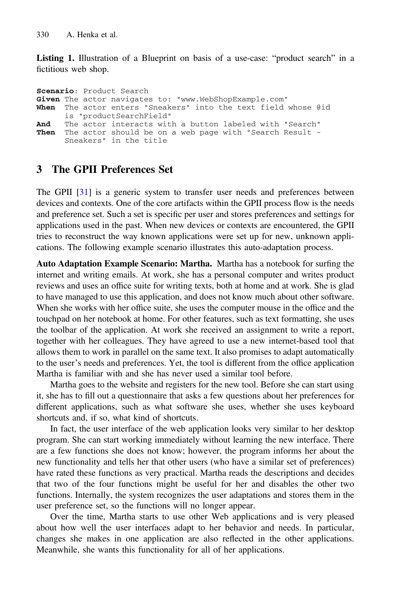<span id="page-5-0"></span>Listing 1. Illustration of a Blueprint on basis of a use-case: "product search" in a fictitious web shop.

**Scenario**: Product Search **Given** The actor navigates to: "www.WebShopExample.com" **When** The actor enters "Sneakers" into the text field whose @id is "productSearchField" **And** The actor interacts with a button labeled with "Search" **Then** The actor should be on a web page with "Search Result - Sneakers" in the title

### 3 The GPII Preferences Set

The GPII [\[31](#page-11-0)] is a generic system to transfer user needs and preferences between devices and contexts. One of the core artifacts within the GPII process flow is the needs and preference set. Such a set is specific per user and stores preferences and settings for applications used in the past. When new devices or contexts are encountered, the GPII tries to reconstruct the way known applications were set up for new, unknown applications. The following example scenario illustrates this auto-adaptation process.

Auto Adaptation Example Scenario: Martha. Martha has a notebook for surfing the internet and writing emails. At work, she has a personal computer and writes product reviews and uses an office suite for writing texts, both at home and at work. She is glad to have managed to use this application, and does not know much about other software. When she works with her office suite, she uses the computer mouse in the office and the touchpad on her notebook at home. For other features, such as text formatting, she uses the toolbar of the application. At work she received an assignment to write a report, together with her colleagues. They have agreed to use a new internet-based tool that allows them to work in parallel on the same text. It also promises to adapt automatically to the user's needs and preferences. Yet, the tool is different from the office application Martha is familiar with and she has never used a similar tool before.

Martha goes to the website and registers for the new tool. Before she can start using it, she has to fill out a questionnaire that asks a few questions about her preferences for different applications, such as what software she uses, whether she uses keyboard shortcuts and, if so, what kind of shortcuts.

In fact, the user interface of the web application looks very similar to her desktop program. She can start working immediately without learning the new interface. There are a few functions she does not know; however, the program informs her about the new functionality and tells her that other users (who have a similar set of preferences) have rated these functions as very practical. Martha reads the descriptions and decides that two of the four functions might be useful for her and disables the other two functions. Internally, the system recognizes the user adaptations and stores them in the user preference set, so the functions will no longer appear.

Over the time, Martha starts to use other Web applications and is very pleased about how well the user interfaces adapt to her behavior and needs. In particular, changes she makes in one application are also reflected in the other applications. Meanwhile, she wants this functionality for all of her applications.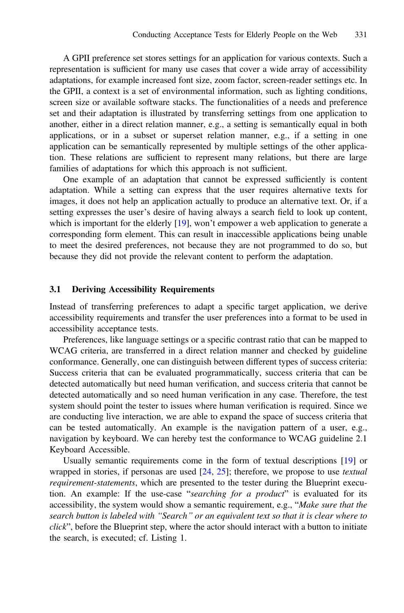A GPII preference set stores settings for an application for various contexts. Such a representation is sufficient for many use cases that cover a wide array of accessibility adaptations, for example increased font size, zoom factor, screen-reader settings etc. In the GPII, a context is a set of environmental information, such as lighting conditions, screen size or available software stacks. The functionalities of a needs and preference set and their adaptation is illustrated by transferring settings from one application to another, either in a direct relation manner, e.g., a setting is semantically equal in both applications, or in a subset or superset relation manner, e.g., if a setting in one application can be semantically represented by multiple settings of the other application. These relations are sufficient to represent many relations, but there are large families of adaptations for which this approach is not sufficient.

One example of an adaptation that cannot be expressed sufficiently is content adaptation. While a setting can express that the user requires alternative texts for images, it does not help an application actually to produce an alternative text. Or, if a setting expresses the user's desire of having always a search field to look up content, which is important for the elderly [[19\]](#page-10-0), won't empower a web application to generate a corresponding form element. This can result in inaccessible applications being unable to meet the desired preferences, not because they are not programmed to do so, but because they did not provide the relevant content to perform the adaptation.

#### 3.1 Deriving Accessibility Requirements

Instead of transferring preferences to adapt a specific target application, we derive accessibility requirements and transfer the user preferences into a format to be used in accessibility acceptance tests.

Preferences, like language settings or a specific contrast ratio that can be mapped to WCAG criteria, are transferred in a direct relation manner and checked by guideline conformance. Generally, one can distinguish between different types of success criteria: Success criteria that can be evaluated programmatically, success criteria that can be detected automatically but need human verification, and success criteria that cannot be detected automatically and so need human verification in any case. Therefore, the test system should point the tester to issues where human verification is required. Since we are conducting live interaction, we are able to expand the space of success criteria that can be tested automatically. An example is the navigation pattern of a user, e.g., navigation by keyboard. We can hereby test the conformance to WCAG guideline 2.1 Keyboard Accessible.

Usually semantic requirements come in the form of textual descriptions [\[19](#page-10-0)] or wrapped in stories, if personas are used  $[24, 25]$  $[24, 25]$  $[24, 25]$ ; therefore, we propose to use *textual* requirement-statements, which are presented to the tester during the Blueprint execution. An example: If the use-case "searching for a product" is evaluated for its accessibility, the system would show a semantic requirement, e.g., "Make sure that the search button is labeled with "Search" or an equivalent text so that it is clear where to  $click$ , before the Blueprint step, where the actor should interact with a button to initiate the search, is executed; cf. Listing 1.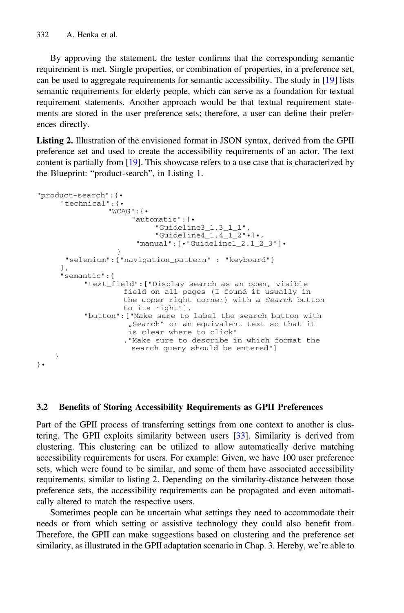By approving the statement, the tester confirms that the corresponding semantic requirement is met. Single properties, or combination of properties, in a preference set, can be used to aggregate requirements for semantic accessibility. The study in [[19\]](#page-10-0) lists semantic requirements for elderly people, which can serve as a foundation for textual requirement statements. Another approach would be that textual requirement statements are stored in the user preference sets; therefore, a user can define their preferences directly.

Listing 2. Illustration of the envisioned format in JSON syntax, derived from the GPII preference set and used to create the accessibility requirements of an actor. The text content is partially from [[19\]](#page-10-0). This showcase refers to a use case that is characterized by the Blueprint: "product-search", in Listing 1.

```
"product-search":{• 
     "technical":{• 
                 "WCAG":{• 
                      "automatic":[• 
                            "Guideline3_1.3_1_1", 
                            "Guideline4_1.4_1_2"•]•, 
                   "manual":[•"Guideline1_2.1_2_3"]• 
      } 
       "selenium":{"navigation_pattern" : "keyboard"} 
     }, 
      "semantic":{ 
           "text_field":["Display search as an open, visible 
                     field on all pages (I found it usually in 
                     the upper right corner) with a Search button 
                     to its right"], 
            "button":["Make sure to label the search button with 
                     "Search" or an equivalent text so that it
                      is clear where to click" 
                     ,"Make sure to describe in which format the 
                      search query should be entered"] 
     } 
}•
```
#### 3.2 Benefits of Storing Accessibility Requirements as GPII Preferences

Part of the GPII process of transferring settings from one context to another is clustering. The GPII exploits similarity between users [[33\]](#page-11-0). Similarity is derived from clustering. This clustering can be utilized to allow automatically derive matching accessibility requirements for users. For example: Given, we have 100 user preference sets, which were found to be similar, and some of them have associated accessibility requirements, similar to listing 2. Depending on the similarity-distance between those preference sets, the accessibility requirements can be propagated and even automatically altered to match the respective users.

Sometimes people can be uncertain what settings they need to accommodate their needs or from which setting or assistive technology they could also benefit from. Therefore, the GPII can make suggestions based on clustering and the preference set similarity, as illustrated in the GPII adaptation scenario in Chap. 3. Hereby, we're able to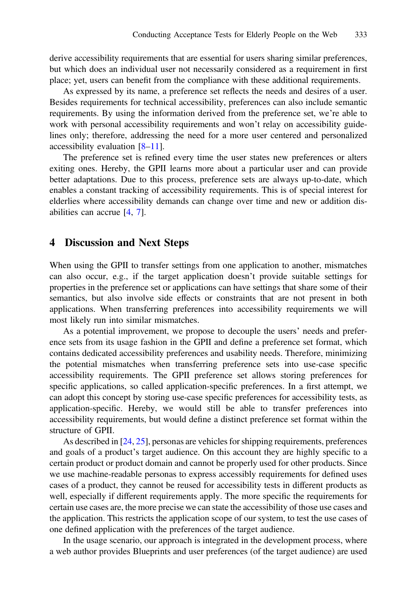<span id="page-8-0"></span>derive accessibility requirements that are essential for users sharing similar preferences, but which does an individual user not necessarily considered as a requirement in first place; yet, users can benefit from the compliance with these additional requirements.

As expressed by its name, a preference set reflects the needs and desires of a user. Besides requirements for technical accessibility, preferences can also include semantic requirements. By using the information derived from the preference set, we're able to work with personal accessibility requirements and won't relay on accessibility guidelines only; therefore, addressing the need for a more user centered and personalized accessibility evaluation [[8](#page-9-0)–[11\]](#page-10-0).

The preference set is refined every time the user states new preferences or alters exiting ones. Hereby, the GPII learns more about a particular user and can provide better adaptations. Due to this process, preference sets are always up-to-date, which enables a constant tracking of accessibility requirements. This is of special interest for elderlies where accessibility demands can change over time and new or addition disabilities can accrue [[4,](#page-9-0) [7](#page-9-0)].

#### 4 Discussion and Next Steps

When using the GPII to transfer settings from one application to another, mismatches can also occur, e.g., if the target application doesn't provide suitable settings for properties in the preference set or applications can have settings that share some of their semantics, but also involve side effects or constraints that are not present in both applications. When transferring preferences into accessibility requirements we will most likely run into similar mismatches.

As a potential improvement, we propose to decouple the users' needs and preference sets from its usage fashion in the GPII and define a preference set format, which contains dedicated accessibility preferences and usability needs. Therefore, minimizing the potential mismatches when transferring preference sets into use-case specific accessibility requirements. The GPII preference set allows storing preferences for specific applications, so called application-specific preferences. In a first attempt, we can adopt this concept by storing use-case specific preferences for accessibility tests, as application-specific. Hereby, we would still be able to transfer preferences into accessibility requirements, but would define a distinct preference set format within the structure of GPII.

As described in [[24,](#page-10-0) [25](#page-10-0)], personas are vehicles for shipping requirements, preferences and goals of a product's target audience. On this account they are highly specific to a certain product or product domain and cannot be properly used for other products. Since we use machine-readable personas to express accessibly requirements for defined uses cases of a product, they cannot be reused for accessibility tests in different products as well, especially if different requirements apply. The more specific the requirements for certain use cases are, the more precise we can state the accessibility of those use cases and the application. This restricts the application scope of our system, to test the use cases of one defined application with the preferences of the target audience.

In the usage scenario, our approach is integrated in the development process, where a web author provides Blueprints and user preferences (of the target audience) are used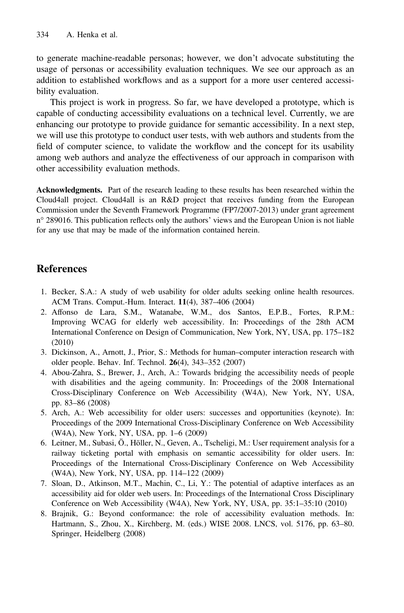<span id="page-9-0"></span>to generate machine-readable personas; however, we don't advocate substituting the usage of personas or accessibility evaluation techniques. We see our approach as an addition to established workflows and as a support for a more user centered accessibility evaluation.

This project is work in progress. So far, we have developed a prototype, which is capable of conducting accessibility evaluations on a technical level. Currently, we are enhancing our prototype to provide guidance for semantic accessibility. In a next step, we will use this prototype to conduct user tests, with web authors and students from the field of computer science, to validate the workflow and the concept for its usability among web authors and analyze the effectiveness of our approach in comparison with other accessibility evaluation methods.

Acknowledgments. Part of the research leading to these results has been researched within the Cloud4all project. Cloud4all is an R&D project that receives funding from the European Commission under the Seventh Framework Programme (FP7/2007-2013) under grant agreement n° 289016. This publication reflects only the authors' views and the European Union is not liable for any use that may be made of the information contained herein.

## **References**

- 1. Becker, S.A.: A study of web usability for older adults seeking online health resources. ACM Trans. Comput.-Hum. Interact. 11(4), 387–406 (2004)
- 2. Affonso de Lara, S.M., Watanabe, W.M., dos Santos, E.P.B., Fortes, R.P.M.: Improving WCAG for elderly web accessibility. In: Proceedings of the 28th ACM International Conference on Design of Communication, New York, NY, USA, pp. 175–182 (2010)
- 3. Dickinson, A., Arnott, J., Prior, S.: Methods for human–computer interaction research with older people. Behav. Inf. Technol. 26(4), 343–352 (2007)
- 4. Abou-Zahra, S., Brewer, J., Arch, A.: Towards bridging the accessibility needs of people with disabilities and the ageing community. In: Proceedings of the 2008 International Cross-Disciplinary Conference on Web Accessibility (W4A), New York, NY, USA, pp. 83–86 (2008)
- 5. Arch, A.: Web accessibility for older users: successes and opportunities (keynote). In: Proceedings of the 2009 International Cross-Disciplinary Conference on Web Accessibility (W4A), New York, NY, USA, pp. 1–6 (2009)
- 6. Leitner, M., Subasi, Ö., Höller, N., Geven, A., Tscheligi, M.: User requirement analysis for a railway ticketing portal with emphasis on semantic accessibility for older users. In: Proceedings of the International Cross-Disciplinary Conference on Web Accessibility (W4A), New York, NY, USA, pp. 114–122 (2009)
- 7. Sloan, D., Atkinson, M.T., Machin, C., Li, Y.: The potential of adaptive interfaces as an accessibility aid for older web users. In: Proceedings of the International Cross Disciplinary Conference on Web Accessibility (W4A), New York, NY, USA, pp. 35:1–35:10 (2010)
- 8. Brajnik, G.: Beyond conformance: the role of accessibility evaluation methods. In: Hartmann, S., Zhou, X., Kirchberg, M. (eds.) WISE 2008. LNCS, vol. 5176, pp. 63–80. Springer, Heidelberg (2008)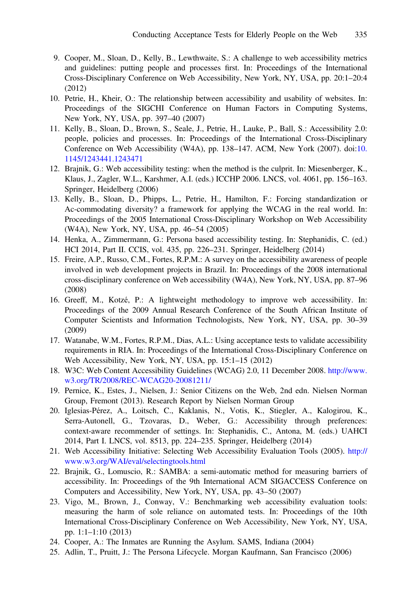- <span id="page-10-0"></span>9. Cooper, M., Sloan, D., Kelly, B., Lewthwaite, S.: A challenge to web accessibility metrics and guidelines: putting people and processes first. In: Proceedings of the International Cross-Disciplinary Conference on Web Accessibility, New York, NY, USA, pp. 20:1–20:4 (2012)
- 10. Petrie, H., Kheir, O.: The relationship between accessibility and usability of websites. In: Proceedings of the SIGCHI Conference on Human Factors in Computing Systems, New York, NY, USA, pp. 397–40 (2007)
- 11. Kelly, B., Sloan, D., Brown, S., Seale, J., Petrie, H., Lauke, P., Ball, S.: Accessibility 2.0: people, policies and processes. In: Proceedings of the International Cross-Disciplinary Conference on Web Accessibility (W4A), pp. 138–147. ACM, New York (2007). doi[:10.](http://dx.doi.org/10.1145/1243441.1243471) [1145/1243441.1243471](http://dx.doi.org/10.1145/1243441.1243471)
- 12. Brajnik, G.: Web accessibility testing: when the method is the culprit. In: Miesenberger, K., Klaus, J., Zagler, W.L., Karshmer, A.I. (eds.) ICCHP 2006. LNCS, vol. 4061, pp. 156–163. Springer, Heidelberg (2006)
- 13. Kelly, B., Sloan, D., Phipps, L., Petrie, H., Hamilton, F.: Forcing standardization or Ac-commodating diversity? a framework for applying the WCAG in the real world. In: Proceedings of the 2005 International Cross-Disciplinary Workshop on Web Accessibility (W4A), New York, NY, USA, pp. 46–54 (2005)
- 14. Henka, A., Zimmermann, G.: Persona based accessibility testing. In: Stephanidis, C. (ed.) HCI 2014, Part II. CCIS, vol. 435, pp. 226–231. Springer, Heidelberg (2014)
- 15. Freire, A.P., Russo, C.M., Fortes, R.P.M.: A survey on the accessibility awareness of people involved in web development projects in Brazil. In: Proceedings of the 2008 international cross-disciplinary conference on Web accessibility (W4A), New York, NY, USA, pp. 87–96 (2008)
- 16. Greeff, M., Kotzé, P.: A lightweight methodology to improve web accessibility. In: Proceedings of the 2009 Annual Research Conference of the South African Institute of Computer Scientists and Information Technologists, New York, NY, USA, pp. 30–39 (2009)
- 17. Watanabe, W.M., Fortes, R.P.M., Dias, A.L.: Using acceptance tests to validate accessibility requirements in RIA. In: Proceedings of the International Cross-Disciplinary Conference on Web Accessibility, New York, NY, USA, pp. 15:1–15 (2012)
- 18. W3C: Web Content Accessibility Guidelines (WCAG) 2.0, 11 December 2008. [http://www.](http://www.w3.org/TR/2008/REC-WCAG20-20081211/) [w3.org/TR/2008/REC-WCAG20-20081211/](http://www.w3.org/TR/2008/REC-WCAG20-20081211/)
- 19. Pernice, K., Estes, J., Nielsen, J.: Senior Citizens on the Web, 2nd edn. Nielsen Norman Group, Fremont (2013). Research Report by Nielsen Norman Group
- 20. Iglesias-Pérez, A., Loitsch, C., Kaklanis, N., Votis, K., Stiegler, A., Kalogirou, K., Serra-Autonell, G., Tzovaras, D., Weber, G.: Accessibility through preferences: context-aware recommender of settings. In: Stephanidis, C., Antona, M. (eds.) UAHCI 2014, Part I. LNCS, vol. 8513, pp. 224–235. Springer, Heidelberg (2014)
- 21. Web Accessibility Initiative: Selecting Web Accessibility Evaluation Tools (2005). [http://](http://www.w3.org/WAI/eval/selectingtools.html) [www.w3.org/WAI/eval/selectingtools.html](http://www.w3.org/WAI/eval/selectingtools.html)
- 22. Brajnik, G., Lomuscio, R.: SAMBA: a semi-automatic method for measuring barriers of accessibility. In: Proceedings of the 9th International ACM SIGACCESS Conference on Computers and Accessibility, New York, NY, USA, pp. 43–50 (2007)
- 23. Vigo, M., Brown, J., Conway, V.: Benchmarking web accessibility evaluation tools: measuring the harm of sole reliance on automated tests. In: Proceedings of the 10th International Cross-Disciplinary Conference on Web Accessibility, New York, NY, USA, pp. 1:1–1:10 (2013)
- 24. Cooper, A.: The Inmates are Running the Asylum. SAMS, Indiana (2004)
- 25. Adlin, T., Pruitt, J.: The Persona Lifecycle. Morgan Kaufmann, San Francisco (2006)